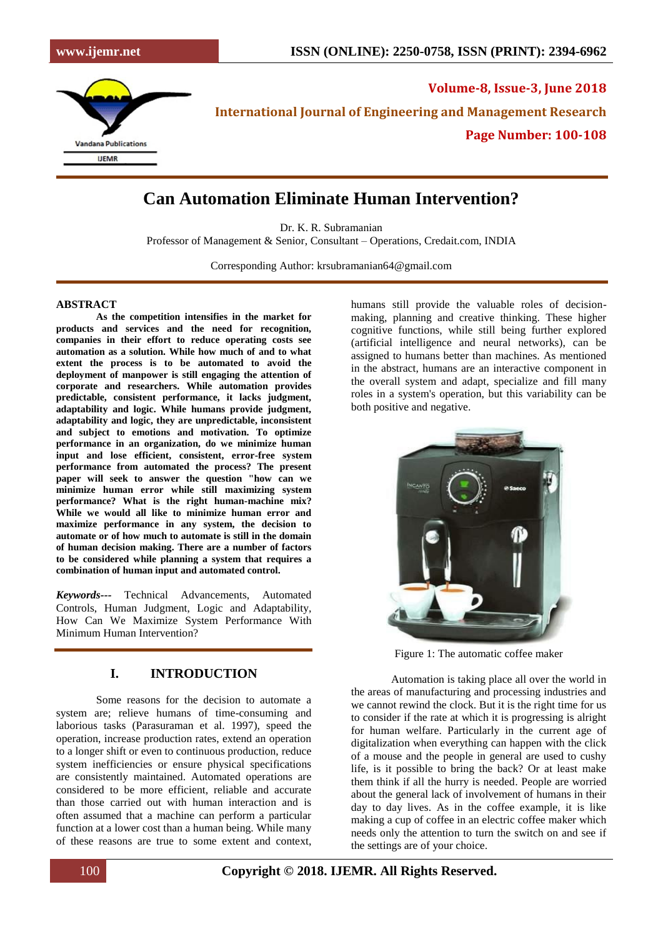

**Volume-8, Issue-3, June 2018 International Journal of Engineering and Management Research Page Number: 100-108**

## **Can Automation Eliminate Human Intervention?**

Dr. K. R. Subramanian

Professor of Management & Senior, Consultant – Operations, Credait.com, INDIA

Corresponding Author: krsubramanian64@gmail.com

#### **ABSTRACT**

**As the competition intensifies in the market for products and services and the need for recognition, companies in their effort to reduce operating costs see automation as a solution. While how much of and to what extent the process is to be automated to avoid the deployment of manpower is still engaging the attention of corporate and researchers. While automation provides predictable, consistent performance, it lacks judgment, adaptability and logic. While humans provide judgment, adaptability and logic, they are unpredictable, inconsistent and subject to emotions and motivation. To optimize performance in an organization, do we minimize human input and lose efficient, consistent, error-free system performance from automated the process? The present paper will seek to answer the question "how can we minimize human error while still maximizing system performance? What is the right human-machine mix? While we would all like to minimize human error and maximize performance in any system, the decision to automate or of how much to automate is still in the domain of human decision making. There are a number of factors to be considered while planning a system that requires a combination of human input and automated control.** 

*Keywords---* Technical Advancements, Automated Controls, Human Judgment, Logic and Adaptability, How Can We Maximize System Performance With Minimum Human Intervention?

#### **I. INTRODUCTION**

Some reasons for the decision to automate a system are; relieve humans of time-consuming and laborious tasks (Parasuraman et al. 1997), speed the operation, increase production rates, extend an operation to a longer shift or even to continuous production, reduce system inefficiencies or ensure physical specifications are consistently maintained. Automated operations are considered to be more efficient, reliable and accurate than those carried out with human interaction and is often assumed that a machine can perform a particular function at a lower cost than a human being. While many of these reasons are true to some extent and context,

humans still provide the valuable roles of decisionmaking, planning and creative thinking. These higher cognitive functions, while still being further explored (artificial intelligence and neural networks), can be assigned to humans better than machines. As mentioned in the abstract, humans are an interactive component in the overall system and adapt, specialize and fill many roles in a system's operation, but this variability can be both positive and negative.



Figure 1: The automatic coffee maker

Automation is taking place all over the world in the areas of manufacturing and processing industries and we cannot rewind the clock. But it is the right time for us to consider if the rate at which it is progressing is alright for human welfare. Particularly in the current age of digitalization when everything can happen with the click of a mouse and the people in general are used to cushy life, is it possible to bring the back? Or at least make them think if all the hurry is needed. People are worried about the general lack of involvement of humans in their day to day lives. As in the coffee example, it is like making a cup of coffee in an electric coffee maker which needs only the attention to turn the switch on and see if the settings are of your choice.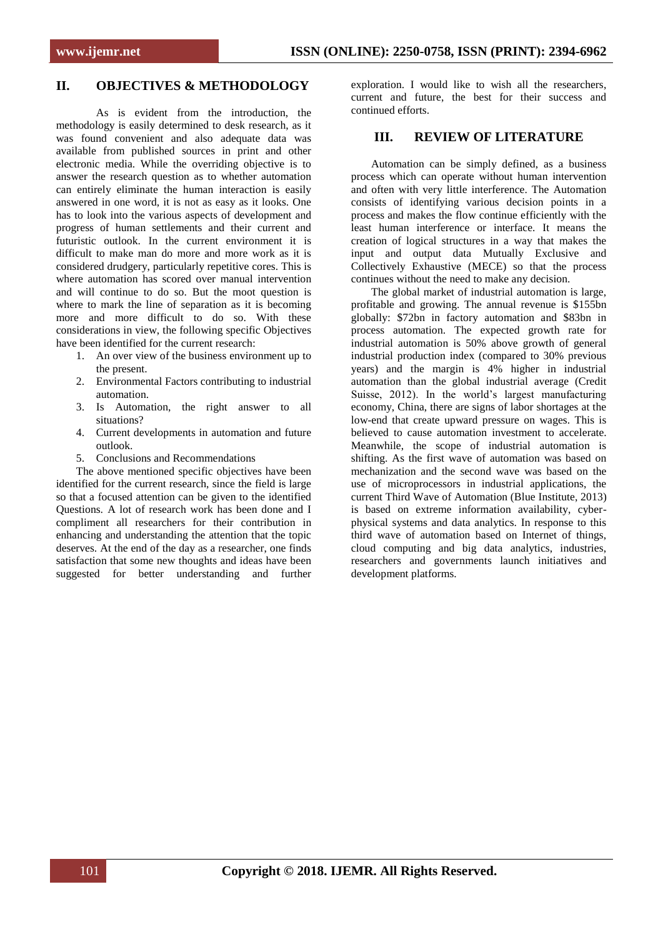## **II. OBJECTIVES & METHODOLOGY**

As is evident from the introduction, the methodology is easily determined to desk research, as it was found convenient and also adequate data was available from published sources in print and other electronic media. While the overriding objective is to answer the research question as to whether automation can entirely eliminate the human interaction is easily answered in one word, it is not as easy as it looks. One has to look into the various aspects of development and progress of human settlements and their current and futuristic outlook. In the current environment it is difficult to make man do more and more work as it is considered drudgery, particularly repetitive cores. This is where automation has scored over manual intervention and will continue to do so. But the moot question is where to mark the line of separation as it is becoming more and more difficult to do so. With these considerations in view, the following specific Objectives have been identified for the current research:

- 1. An over view of the business environment up to the present.
- 2. Environmental Factors contributing to industrial automation.
- 3. Is Automation, the right answer to all situations?
- 4. Current developments in automation and future outlook.
- 5. Conclusions and Recommendations

The above mentioned specific objectives have been identified for the current research, since the field is large so that a focused attention can be given to the identified Questions. A lot of research work has been done and I compliment all researchers for their contribution in enhancing and understanding the attention that the topic deserves. At the end of the day as a researcher, one finds satisfaction that some new thoughts and ideas have been suggested for better understanding and further exploration. I would like to wish all the researchers, current and future, the best for their success and continued efforts.

#### **III. REVIEW OF LITERATURE**

Automation can be simply defined, as a business process which can operate without human intervention and often with very little interference. The Automation consists of identifying various decision points in a process and makes the flow continue efficiently with the least human interference or interface. It means the creation of logical structures in a way that makes the input and output data Mutually Exclusive and Collectively Exhaustive (MECE) so that the process continues without the need to make any decision.

The global market of industrial automation is large, profitable and growing. The annual revenue is \$155bn globally: \$72bn in factory automation and \$83bn in process automation. The expected growth rate for industrial automation is 50% above growth of general industrial production index (compared to 30% previous years) and the margin is 4% higher in industrial automation than the global industrial average (Credit Suisse, 2012). In the world's largest manufacturing economy, China, there are signs of labor shortages at the low-end that create upward pressure on wages. This is believed to cause automation investment to accelerate. Meanwhile, the scope of industrial automation is shifting. As the first wave of automation was based on mechanization and the second wave was based on the use of microprocessors in industrial applications, the current Third Wave of Automation (Blue Institute, 2013) is based on extreme information availability, cyberphysical systems and data analytics. In response to this third wave of automation based on Internet of things, cloud computing and big data analytics, industries, researchers and governments launch initiatives and development platforms.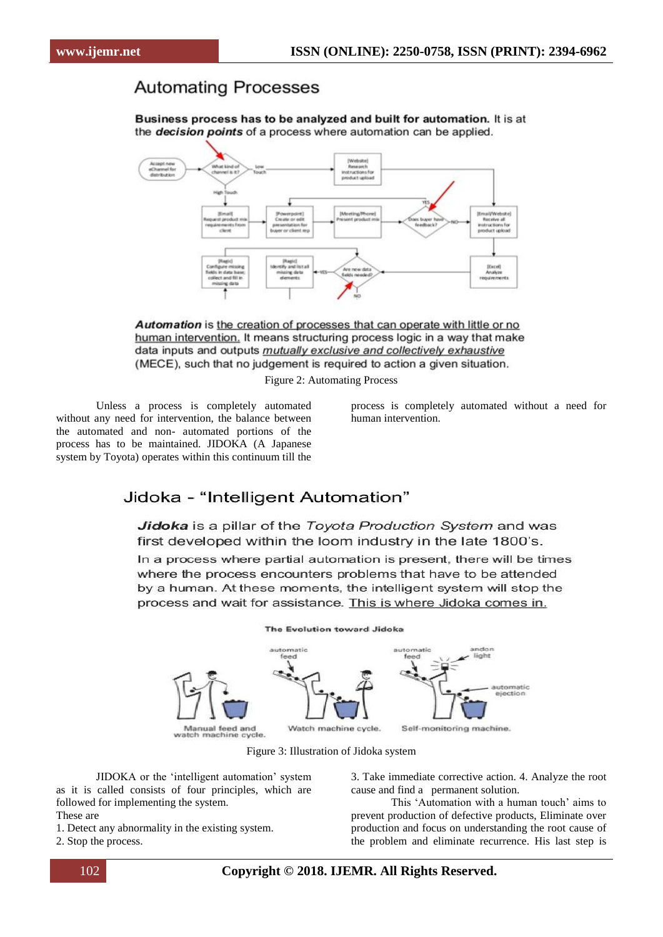# **Automating Processes**

Business process has to be analyzed and built for automation. It is at the *decision points* of a process where automation can be applied.



Automation is the creation of processes that can operate with little or no human intervention. It means structuring process logic in a way that make data inputs and outputs mutually exclusive and collectively exhaustive (MECE), such that no judgement is required to action a given situation.

Figure 2: Automating Process

Unless a process is completely automated without any need for intervention, the balance between the automated and non- automated portions of the process has to be maintained. JIDOKA (A Japanese system by Toyota) operates within this continuum till the

process is completely automated without a need for human intervention.

## Jidoka - "Intelligent Automation"

Jidoka is a pillar of the Toyota Production System and was first developed within the loom industry in the late 1800's.

In a process where partial automation is present, there will be times where the process encounters problems that have to be attended by a human. At these moments, the intelligent system will stop the process and wait for assistance. This is where Jidoka comes in.



Figure 3: Illustration of Jidoka system

JIDOKA or the ‗intelligent automation' system as it is called consists of four principles, which are followed for implementing the system. These are

1. Detect any abnormality in the existing system.

2. Stop the process.

3. Take immediate corrective action. 4. Analyze the root cause and find a permanent solution.

This ‗Automation with a human touch' aims to prevent production of defective products, Eliminate over production and focus on understanding the root cause of the problem and eliminate recurrence. His last step is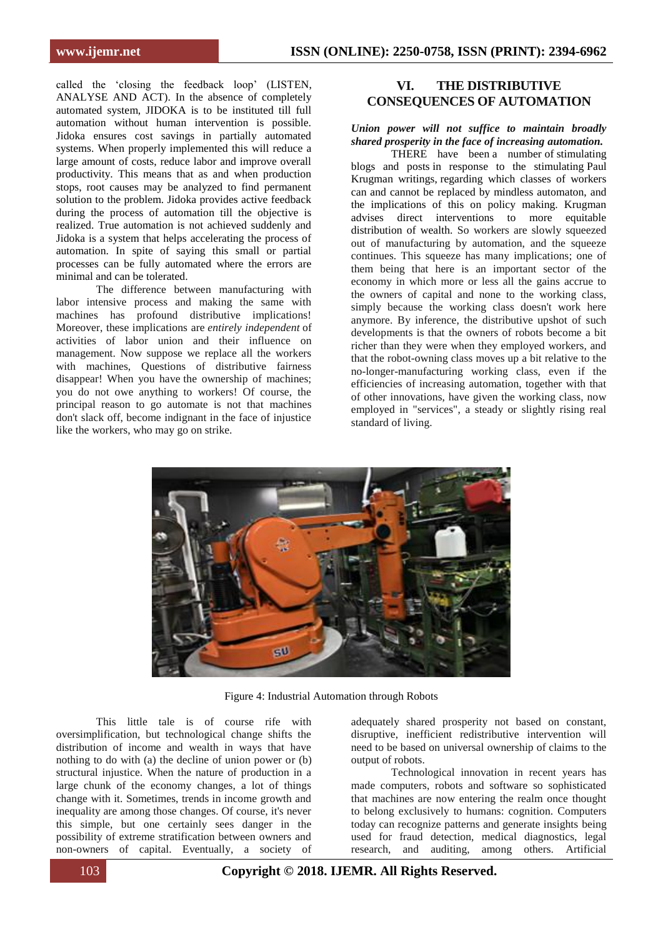called the 'closing the feedback loop' (LISTEN, ANALYSE AND ACT). In the absence of completely automated system, JIDOKA is to be instituted till full automation without human intervention is possible. Jidoka ensures cost savings in partially automated systems. When properly implemented this will reduce a large amount of costs, reduce labor and improve overall productivity. This means that as and when production stops, root causes may be analyzed to find permanent solution to the problem. Jidoka provides active feedback during the process of automation till the objective is realized. True automation is not achieved suddenly and Jidoka is a system that helps accelerating the process of automation. In spite of saying this small or partial processes can be fully automated where the errors are minimal and can be tolerated.

The difference between manufacturing with labor intensive process and making the same with machines has profound distributive implications! Moreover, these implications are *entirely independent* of activities of labor union and their influence on management. Now suppose we replace all the workers with machines, Questions of distributive fairness disappear! When you have the ownership of machines; you do not owe anything to workers! Of course, the principal reason to go automate is not that machines don't slack off, become indignant in the face of injustice like the workers, who may go on strike.

## **VI. THE DISTRIBUTIVE CONSEQUENCES OF AUTOMATION**

## *Union power will not suffice to maintain broadly shared prosperity in the face of increasing automation.*

THERE have been a number of stimulating blogs and posts in response to the stimulating [Paul](http://www.nytimes.com/2011/03/07/opinion/07krugman.html?hp)  [Krugman writings,](http://www.nytimes.com/2011/03/07/opinion/07krugman.html?hp) regarding which classes of workers can and cannot be replaced by mindless automaton, and the implications of this on policy making. Krugman advises direct interventions to more equitable distribution of wealth. So workers are slowly squeezed out of manufacturing by automation, and the squeeze continues. This squeeze has many implications; one of them being that here is an important sector of the economy in which more or less all the gains accrue to the owners of capital and none to the working class, simply because the working class doesn't work here anymore. By inference, the distributive upshot of such developments is that the owners of robots become a bit richer than they were when they employed workers, and that the robot-owning class moves up a bit relative to the no-longer-manufacturing working class, even if the efficiencies of increasing automation, together with that of other innovations, have given the working class, now employed in "services", a steady or slightly rising real standard of living.



Figure 4: Industrial Automation through Robots

This little tale is of course rife with oversimplification, but technological change shifts the distribution of income and wealth in ways that have nothing to do with (a) the decline of union power or (b) structural injustice. When the nature of production in a large chunk of the economy changes, a lot of things change with it. Sometimes, trends in income growth and inequality are among those changes. Of course, it's never this simple, but one certainly sees danger in the possibility of extreme stratification between owners and non-owners of capital. Eventually, a society of

adequately shared prosperity not based on constant, disruptive, inefficient redistributive intervention will need to be based on universal ownership of claims to the output of robots.

Technological innovation in recent years has made computers, robots and software so sophisticated that machines are now entering the realm once thought to belong exclusively to humans: cognition. Computers today can recognize patterns and generate insights being used for fraud detection, medical diagnostics, legal research, and auditing, among others. Artificial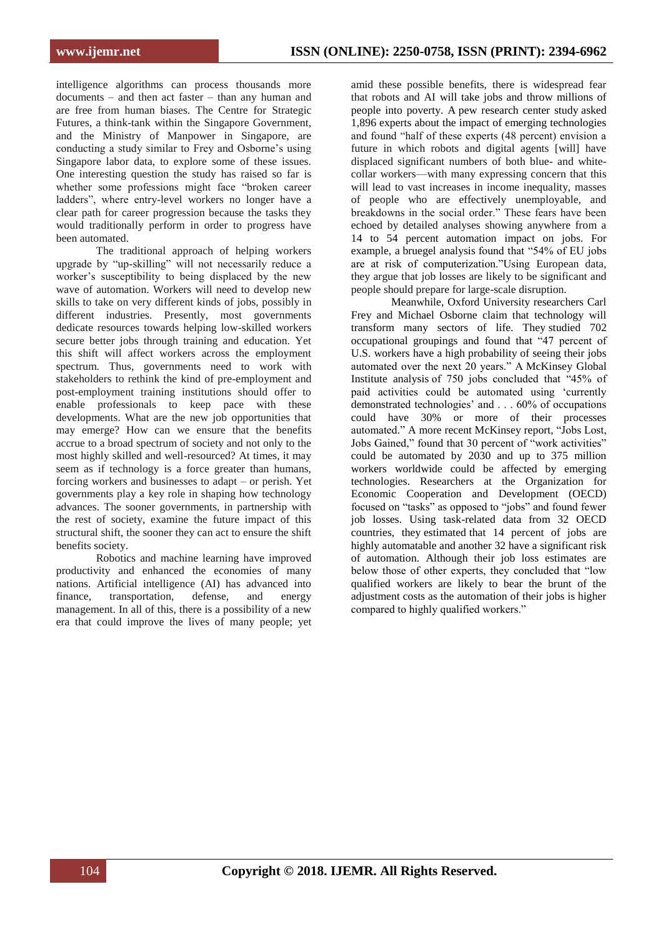intelligence algorithms can process thousands more documents – and then act faster – than any human and are free from human biases. The Centre for Strategic Futures, a think-tank within the Singapore Government, and the Ministry of Manpower in Singapore, are conducting a study similar to Frey and Osborne's using Singapore labor data, to explore some of these issues. One interesting question the study has raised so far is whether some professions might face "broken career ladders", where entry-level workers no longer have a clear path for career progression because the tasks they would traditionally perform in order to progress have been automated.

The traditional approach of helping workers upgrade by "up-skilling" will not necessarily reduce a worker's susceptibility to being displaced by the new wave of automation. Workers will need to develop new skills to take on very different kinds of jobs, possibly in different industries. Presently, most governments dedicate resources towards helping low-skilled workers secure better jobs through training and education. Yet this shift will affect workers across the employment spectrum. Thus, governments need to work with stakeholders to rethink the kind of pre-employment and post-employment training institutions should offer to enable professionals to keep pace with these developments. What are the new job opportunities that may emerge? How can we ensure that the benefits accrue to a broad spectrum of society and not only to the most highly skilled and well-resourced? At times, it may seem as if technology is a force greater than humans, forcing workers and businesses to adapt – or perish. Yet governments play a key role in shaping how technology advances. The sooner governments, in partnership with the rest of society, examine the future impact of this structural shift, the sooner they can act to ensure the shift benefits society.

Robotics and machine learning have improved productivity and enhanced the economies of many nations. Artificial intelligence (AI) has advanced into finance, transportation, defense, and energy management. In all of this, there is a possibility of a new era that could improve the lives of many people; yet

amid these possible benefits, there is widespread fear that robots and AI will take jobs and throw millions of people into poverty. A [pew research center study](http://www.pewinternet.org/2014/08/06/future-of-jobs/) asked 1,896 experts about the impact of emerging technologies and found "half of these experts (48 percent) envision a future in which robots and digital agents [will] have displaced significant numbers of both blue- and whitecollar workers—with many expressing concern that this will lead to vast increases in income inequality, masses of people who are effectively unemployable, and breakdowns in the social order." These fears have been echoed by detailed analyses showing anywhere from a 14 to 54 percent automation impact on jobs. For example, a [bruegel analysis](http://bruegel.org/2014/07/chart-of-the-week-54-of-eu-jobs-at-risk-of-computerisation/) found that "54% of EU jobs are at risk of computerization."Using European data, they argue that job losses are likely to be significant and people should prepare for large-scale disruption.

Meanwhile, Oxford University researchers Carl Frey and Michael Osborne claim that technology will transform many sectors of life. They [studied](https://www.oxfordmartin.ox.ac.uk/downloads/academic/The_Future_of_Employment.pdf) 702 [occupational](https://www.oxfordmartin.ox.ac.uk/downloads/academic/The_Future_of_Employment.pdf) groupings and found that "47 percent of U.S. workers have a high probability of seeing their jobs automated over the next 20 years." A [McKinsey](https://www.mckinsey.com/business-functions/digital-mckinsey/our-insights/four-fundamentals-of-workplace-automation) Global [Institute](https://www.mckinsey.com/business-functions/digital-mckinsey/our-insights/four-fundamentals-of-workplace-automation) analysis of 750 jobs concluded that "45% of paid activities could be automated using 'currently demonstrated technologies' and . . . 60% of occupations could have 30% or more of their processes automated." A more recent [McKinsey](https://www.mckinsey.com/global-themes/future-of-organizations-and-work/what-the-future-of-work-will-mean-for-jobs-skills-and-wages) report, "Jobs Lost, Jobs Gained," found that 30 percent of "work activities" could be automated by 2030 and up to 375 million workers worldwide could be affected by emerging technologies. Researchers at the Organization for Economic Cooperation and Development (OECD) focused on "tasks" as opposed to "jobs" and found fewer job losses. Using task-related data from 32 OECD countries, they [estimated](https://www.oecd-ilibrary.org/social-issues-migration-health/the-risk-of-automation-for-jobs-in-oecd-countries_5jlz9h56dvq7-en) that 14 percent of jobs are highly automatable and another 32 have a significant risk of automation. Although their job loss estimates are below those of other experts, they concluded that "low qualified workers are likely to bear the brunt of the adjustment costs as the automation of their jobs is higher compared to highly qualified workers."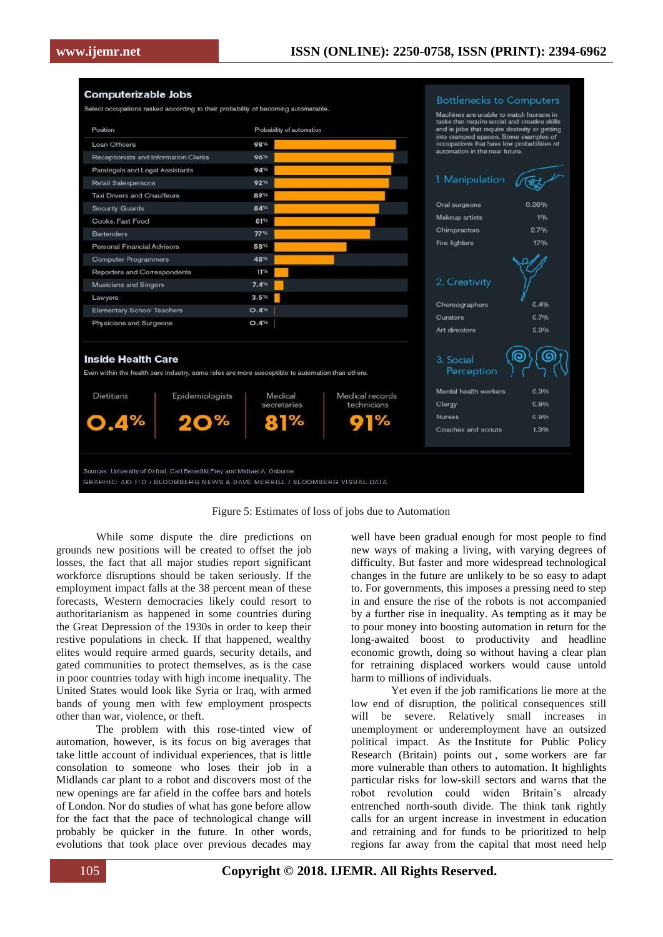

Figure 5: Estimates of loss of jobs due to Automation

While some dispute the dire predictions on grounds new positions will be created to offset the job losses, the fact that all major studies report significant workforce disruptions should be taken seriously. If the employment impact falls at the 38 percent mean of these forecasts, Western democracies likely could resort to authoritarianism as happened in some countries during the Great Depression of the 1930s in order to keep their restive populations in check. If that happened, wealthy elites would require armed guards, security details, and gated communities to protect themselves, as is the case in poor countries today with high income inequality. The United States would look like Syria or Iraq, with armed bands of young men with few employment prospects other than war, violence, or theft.

The problem with this rose-tinted view of automation, however, is its focus on big averages that take little account of individual experiences, that is little consolation to someone who loses their job in a Midlands car plant to a robot and discovers most of the new openings are far afield in the coffee bars and hotels of London. Nor do studies of what has gone before allow for the fact that the pace of technological change will probably be quicker in the future. In other words, evolutions that took place over previous decades may

well have been gradual enough for most people to find new ways of making a living, with varying degrees of difficulty. But faster and more widespread technological changes in the future are unlikely to be so easy to adapt to. For governments, this imposes a pressing need to step in and ensure the [rise of the robots is not accompanied](https://www.theguardian.com/technology/2014/jan/04/robots-future-society-drones)  [by a further rise in inequality.](https://www.theguardian.com/technology/2014/jan/04/robots-future-society-drones) As tempting as it may be to pour money into boosting automation in return for the long-awaited boost to productivity and headline economic growth, doing so without having a clear plan for retraining displaced workers would cause untold harm to millions of individuals.

Yet even if the job ramifications lie more at the low end of disruption, the political consequences still will be severe. Relatively small increases in unemployment or underemployment have an outsized political impact. As the [Institute for Public Policy](https://www.theguardian.com/technology/2017/mar/24/millions-uk-workers-risk-replaced-robots-study-warns)  [Research \(Britain\) points out](https://www.theguardian.com/technology/2017/mar/24/millions-uk-workers-risk-replaced-robots-study-warns) , some [workers are far](https://www.theguardian.com/commentisfree/2016/feb/29/the-guardian-view-on-the-automated-future-fewer-shops-and-fewer-people)  [more vulnerable than others to automation.](https://www.theguardian.com/commentisfree/2016/feb/29/the-guardian-view-on-the-automated-future-fewer-shops-and-fewer-people) It highlights particular risks for low-skill sectors and warns that the robot revolution could widen Britain's already entrenched north-south divide. The think tank rightly calls for an urgent increase in investment in education and retraining and for funds to be prioritized to help regions far away from the capital that most need help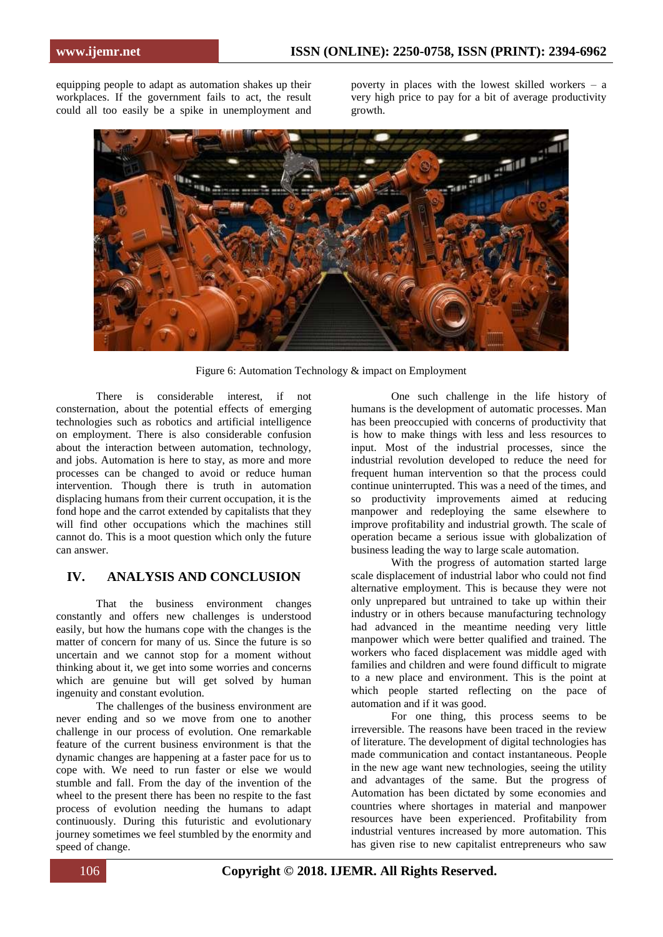equipping people to adapt as automation shakes up their workplaces. If the government fails to act, the result could all too easily be a spike in unemployment and

poverty in places with the lowest skilled workers – a very high price to pay for a bit of average productivity growth.



Figure 6: Automation Technology & impact on Employment

There is considerable interest, if not consternation, about the potential effects of emerging technologies such as robotics and artificial intelligence on employment. There is also considerable confusion about the interaction between automation, technology, and jobs. Automation is here to stay, as more and more processes can be changed to avoid or reduce human intervention. Though there is truth in automation displacing humans from their current occupation, it is the fond hope and the carrot extended by capitalists that they will find other occupations which the machines still cannot do. This is a moot question which only the future can answer.

## **IV. ANALYSIS AND CONCLUSION**

That the business environment changes constantly and offers new challenges is understood easily, but how the humans cope with the changes is the matter of concern for many of us. Since the future is so uncertain and we cannot stop for a moment without thinking about it, we get into some worries and concerns which are genuine but will get solved by human ingenuity and constant evolution.

The challenges of the business environment are never ending and so we move from one to another challenge in our process of evolution. One remarkable feature of the current business environment is that the dynamic changes are happening at a faster pace for us to cope with. We need to run faster or else we would stumble and fall. From the day of the invention of the wheel to the present there has been no respite to the fast process of evolution needing the humans to adapt continuously. During this futuristic and evolutionary journey sometimes we feel stumbled by the enormity and speed of change.

One such challenge in the life history of humans is the development of automatic processes. Man has been preoccupied with concerns of productivity that is how to make things with less and less resources to input. Most of the industrial processes, since the industrial revolution developed to reduce the need for frequent human intervention so that the process could continue uninterrupted. This was a need of the times, and so productivity improvements aimed at reducing manpower and redeploying the same elsewhere to improve profitability and industrial growth. The scale of operation became a serious issue with globalization of business leading the way to large scale automation.

With the progress of automation started large scale displacement of industrial labor who could not find alternative employment. This is because they were not only unprepared but untrained to take up within their industry or in others because manufacturing technology had advanced in the meantime needing very little manpower which were better qualified and trained. The workers who faced displacement was middle aged with families and children and were found difficult to migrate to a new place and environment. This is the point at which people started reflecting on the pace of automation and if it was good.

For one thing, this process seems to be irreversible. The reasons have been traced in the review of literature. The development of digital technologies has made communication and contact instantaneous. People in the new age want new technologies, seeing the utility and advantages of the same. But the progress of Automation has been dictated by some economies and countries where shortages in material and manpower resources have been experienced. Profitability from industrial ventures increased by more automation. This has given rise to new capitalist entrepreneurs who saw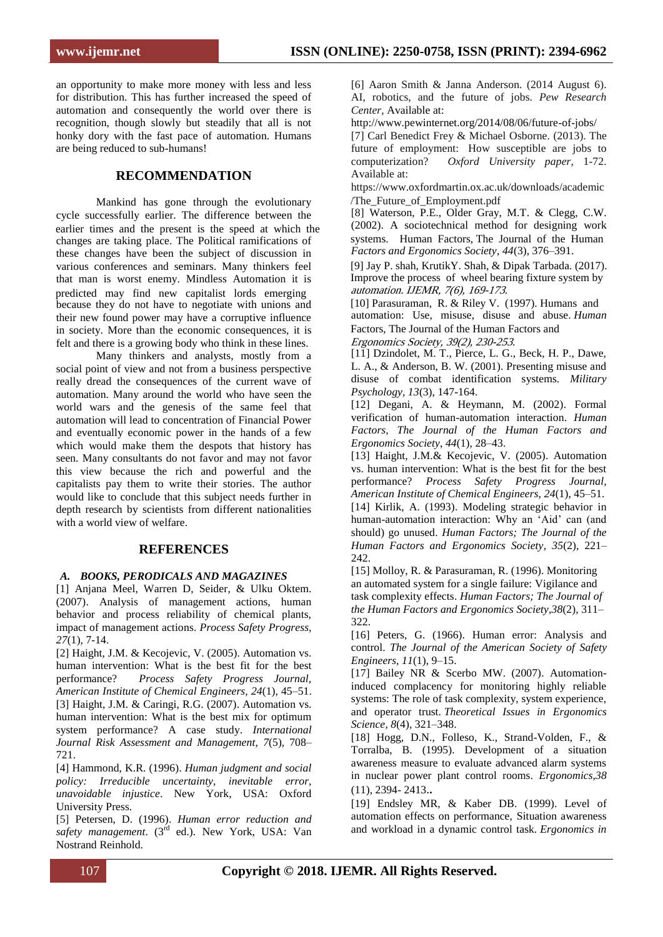an opportunity to make more money with less and less for distribution. This has further increased the speed of automation and consequently the world over there is recognition, though slowly but steadily that all is not honky dory with the fast pace of automation. Humans are being reduced to sub-humans!

### **RECOMMENDATION**

Mankind has gone through the evolutionary cycle successfully earlier. The difference between the changes are taking place. The Political ramifications of these changes have been the subject of discussion in various conferences and seminars. Many thinkers feel that man is worst enemy. Mindless Automation it is because they do not have to negotiate with unions and their new found power may have a corruptive influence in society. More than the economic consequences, it is felt and there is a growing body who think in these lines. earlier times and the present is the speed at which the predicted may find new capitalist lords emerging

Many thinkers and analysts, mostly from a social point of view and not from a business perspective really dread the consequences of the current wave of automation. Many around the world who have seen the world wars and the genesis of the same feel that automation will lead to concentration of Financial Power and eventually economic power in the hands of a few which would make them the despots that history has seen. Many consultants do not favor and may not favor this view because the rich and powerful and the capitalists pay them to write their stories. The author would like to conclude that this subject needs further in depth research by scientists from different nationalities with a world view of welfare.

#### **REFERENCES**

#### *A. BOOKS, PERODICALS AND MAGAZINES*

[1] Anjana Meel, Warren D, Seider, & Ulku Oktem. (2007). Analysis of management actions, human behavior and process reliability of chemical plants, impact of management actions. *Process Safety Progress, 27*(1)*,* 7-14.

[2] Haight, J.M. & Kecojevic, V. (2005). Automation vs. human intervention: What is the best fit for the best performance? *Process Safety Progress Journal, American Institute of Chemical Engineers, 24*(1), 45–51. [3] Haight, J.M. & Caringi, R.G. (2007). Automation vs. human intervention: What is the best mix for optimum system performance? A case study. *International Journal Risk Assessment and Management, 7*(5), 708– 721.

[4] Hammond, K.R. (1996). *Human judgment and social policy: Irreducible uncertainty, inevitable error, unavoidable injustice*. New York, USA: Oxford University Press.

[5] Petersen, D. (1996). *Human error reduction and*  safety management. (3<sup>rd</sup> ed.). New York, USA: Van Nostrand Reinhold.

[6] Aaron Smith & Janna Anderson. (2014 August 6). AI, robotics, and the future of jobs. *Pew Research Center*, Available at:

http://www.pewinternet.org/2014/08/06/future-of-jobs/ [7] Carl Benedict Frey & Michael Osborne. (2013). The future of employment: How susceptible are jobs to computerization? *Oxford University paper,* 1-72. Available at:

https://www.oxfordmartin.ox.ac.uk/downloads/academic /The\_Future\_of\_Employment.pdf

[8] Waterson, P.E., Older Gray, M.T. & Clegg, C.W. (2002). A sociotechnical method for designing work *Factors and Ergonomics Society*, *44*(3), 376–391. systems. Human Factors, The Journal of the Human

[9] Jay P. shah, KrutikY. Shah, & Dipak Tarbada. (2017). Improve the process of wheel bearing fixture system by automation. IJEMR, 7(6), 169-173.

automation: Use, misuse, disuse and abuse. *Human* [10] Parasuraman, R. & Riley V. (1997). Humans and Factors, The Journal of the Human Factors and

Ergonomics Society, 39(2), 230-253.

[11] Dzindolet, M. T., Pierce, L. G., Beck, H. P., Dawe, L. A., & Anderson, B. W. (2001). Presenting misuse and disuse of combat identification systems. *Military Psychology, 13*(3), 147-164.

[12] Degani, A. & Heymann, M. (2002). Formal verification of human-automation interaction. *Human Factors, The Journal of the Human Factors and Ergonomics Society*, *44*(1), 28–43.

[13] Haight, J.M.& Kecojevic, V. (2005). Automation vs. human intervention: What is the best fit for the best performance? *Process Safety Progress Journal, American Institute of Chemical Engineers, 24*(1), 45–51. [14] Kirlik, A. (1993). Modeling strategic behavior in human-automation interaction: Why an 'Aid' can (and should) go unused. *Human Factors; The Journal of the Human Factors and Ergonomics Society, 35*(2), 221– 242.

[15] Molloy, R. & Parasuraman, R. (1996). Monitoring an automated system for a single failure: Vigilance and task complexity effects. *Human Factors; The Journal of the Human Factors and Ergonomics Society,38*(2), 311– 322.

[16] Peters, G. (1966). Human error: Analysis and control. *The Journal of the American Society of Safety Engineers, 11*(1), 9–15.

[17] Bailey NR & Scerbo MW. (2007). Automationinduced complacency for monitoring highly reliable systems: The role of task complexity, system experience, and operator trust. *Theoretical Issues in Ergonomics Science, 8*(4), 321–348.

[18] Hogg, D.N., Folleso, K., Strand-Volden, F., & Torralba, B. (1995). Development of a situation awareness measure to evaluate advanced alarm systems in nuclear power plant control rooms. *Ergonomics,38* (11), 2394- 2413.**.**

[19] Endsley MR, & Kaber DB. (1999). Level of automation effects on performance, Situation awareness and workload in a dynamic control task. *Ergonomics in*